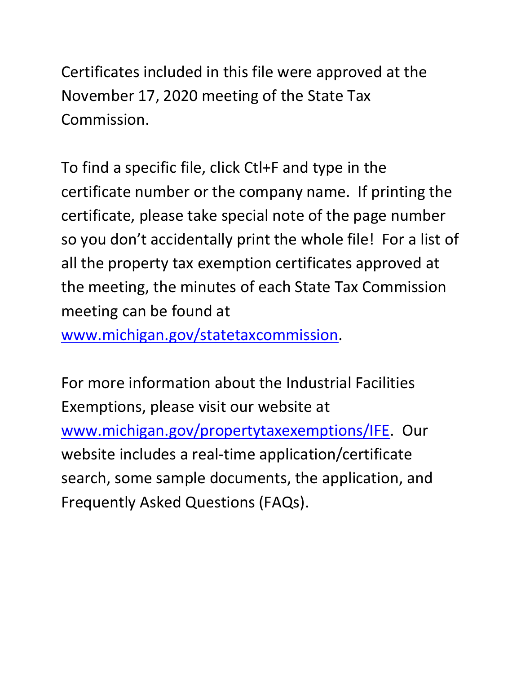Certificates included in this file were approved at the November 17, 2020 meeting of the State Tax Commission.

 certificate number or the company name. If printing the so you don't accidentally print the whole file! For a list of To find a specific file, click Ctl+F and type in the certificate, please take special note of the page number all the property tax exemption certificates approved at the meeting, the minutes of each State Tax Commission meeting can be found at

[www.michigan.gov/statetaxcommission.](http://www.michigan.gov/statetaxcommission)

For more information about the Industrial Facilities Exemptions, please visit our website at [www.michigan.gov/propertytaxexemptions/IFE.](http://www.michigan.gov/taxes/0,1607,7-238-43535_53197-213175--,00.html) Our website includes a real-time application/certificate search, some sample documents, the application, and Frequently Asked Questions (FAQs).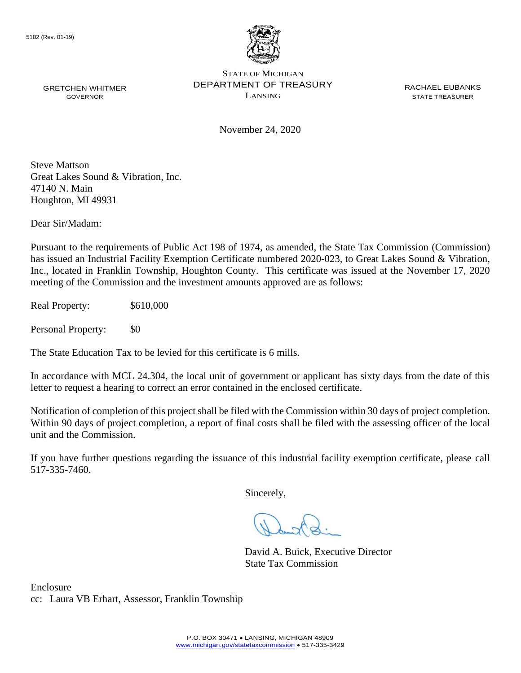

November 24, 2020

Steve Mattson Great Lakes Sound & Vibration, Inc. 47140 N. Main Houghton, MI 49931

Dear Sir/Madam:

Pursuant to the requirements of Public Act 198 of 1974, as amended, the State Tax Commission (Commission) has issued an Industrial Facility Exemption Certificate numbered 2020-023, to Great Lakes Sound & Vibration, Inc., located in Franklin Township, Houghton County. This certificate was issued at the November 17, 2020 meeting of the Commission and the investment amounts approved are as follows:

Real Property: \$610,000

Personal Property: \$0

The State Education Tax to be levied for this certificate is 6 mills.

In accordance with MCL 24.304, the local unit of government or applicant has sixty days from the date of this letter to request a hearing to correct an error contained in the enclosed certificate.

 Notification of completion of this project shall be filed with the Commission within 30 days of project completion. Within 90 days of project completion, a report of final costs shall be filed with the assessing officer of the local unit and the Commission.

 If you have further questions regarding the issuance of this industrial facility exemption certificate, please call 517-335-7460.

Sincerely,

David A. Buick, Executive Director State Tax Commission

Enclosure cc: Laura VB Erhart, Assessor, Franklin Township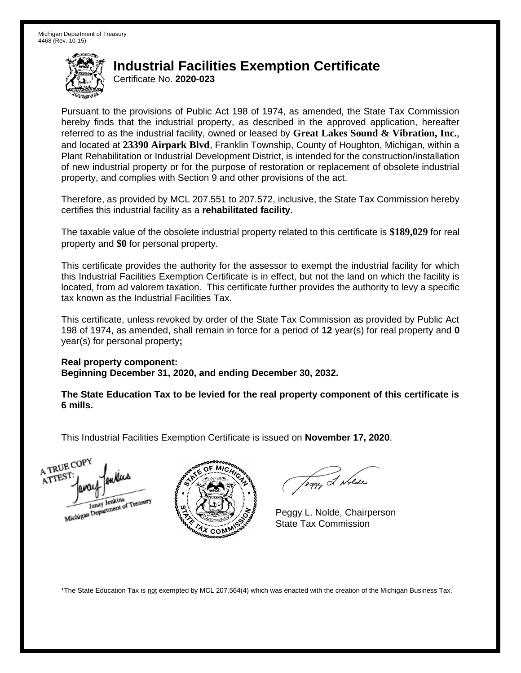Certificate No. **2020-023** 

 Pursuant to the provisions of Public Act 198 of 1974, as amended, the State Tax Commission hereby finds that the industrial property, as described in the approved application, hereafter referred to as the industrial facility, owned or leased by **Great Lakes Sound & Vibration, Inc.**, and located at **23390 Airpark Blvd**, Franklin Township, County of Houghton, Michigan, within a Plant Rehabilitation or Industrial Development District, is intended for the construction/installation of new industrial property or for the purpose of restoration or replacement of obsolete industrial property, and complies with Section 9 and other provisions of the act.

 Therefore, as provided by MCL 207.551 to 207.572, inclusive, the State Tax Commission hereby certifies this industrial facility as a **rehabilitated facility.** 

 The taxable value of the obsolete industrial property related to this certificate is **\$189,029** for real property and **\$0** for personal property.

 This certificate provides the authority for the assessor to exempt the industrial facility for which this Industrial Facilities Exemption Certificate is in effect, but not the land on which the facility is located, from ad valorem taxation. This certificate further provides the authority to levy a specific tax known as the Industrial Facilities Tax.

 This certificate, unless revoked by order of the State Tax Commission as provided by Public Act 198 of 1974, as amended, shall remain in force for a period of **12** year(s) for real property and **0**  year(s) for personal property**;** 

 **Real property component: Beginning December 31, 2020, and ending December 30, 2032.** 

 **The State Education Tax to be levied for the real property component of this certificate is 6 mills.** 

 This Industrial Facilities Exemption Certificate is issued on **November 17, 2020**.





Teggy & Nolde

 Peggy L. Nolde, Chairperson State Tax Commission

\*The State Education Tax is not exempted by MCL 207.564(4) which was enacted with the creation of the Michigan Business Tax.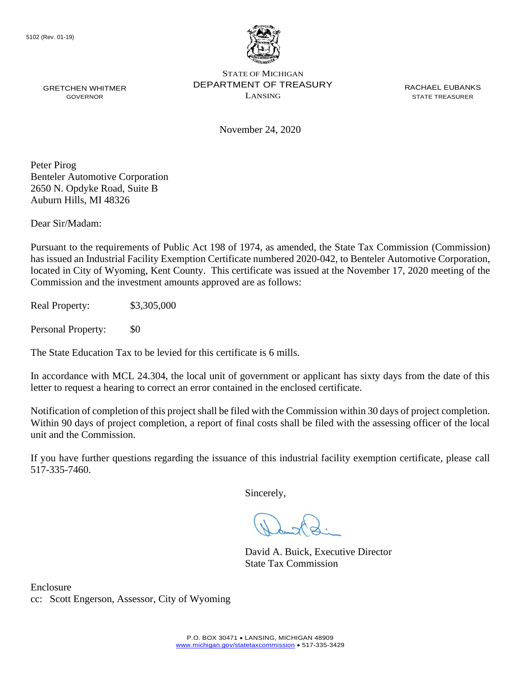

November 24, 2020

Peter Pirog Benteler Automotive Corporation 2650 N. Opdyke Road, Suite B Auburn Hills, MI 48326

Dear Sir/Madam:

Pursuant to the requirements of Public Act 198 of 1974, as amended, the State Tax Commission (Commission) has issued an Industrial Facility Exemption Certificate numbered 2020-042, to Benteler Automotive Corporation, located in City of Wyoming, Kent County. This certificate was issued at the November 17, 2020 meeting of the Commission and the investment amounts approved are as follows:

Real Property: \$3,305,000

Personal Property: \$0

The State Education Tax to be levied for this certificate is 6 mills.

In accordance with MCL 24.304, the local unit of government or applicant has sixty days from the date of this letter to request a hearing to correct an error contained in the enclosed certificate.

 Notification of completion of this project shall be filed with the Commission within 30 days of project completion. Within 90 days of project completion, a report of final costs shall be filed with the assessing officer of the local unit and the Commission.

 If you have further questions regarding the issuance of this industrial facility exemption certificate, please call 517-335-7460.

Sincerely,

David A. Buick, Executive Director State Tax Commission

Enclosure cc: Scott Engerson, Assessor, City of Wyoming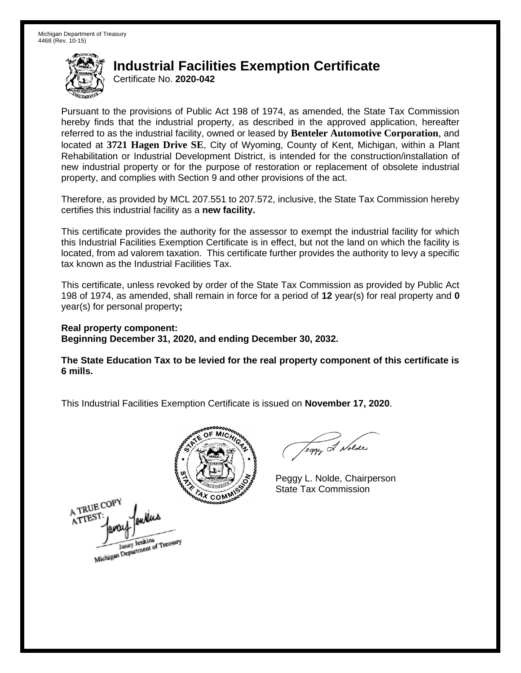Certificate No. **2020-042** 

 Pursuant to the provisions of Public Act 198 of 1974, as amended, the State Tax Commission hereby finds that the industrial property, as described in the approved application, hereafter referred to as the industrial facility, owned or leased by **Benteler Automotive Corporation**, and located at **3721 Hagen Drive SE**, City of Wyoming, County of Kent, Michigan, within a Plant Rehabilitation or Industrial Development District, is intended for the construction/installation of new industrial property or for the purpose of restoration or replacement of obsolete industrial property, and complies with Section 9 and other provisions of the act.

 Therefore, as provided by MCL 207.551 to 207.572, inclusive, the State Tax Commission hereby certifies this industrial facility as a **new facility.** 

 This certificate provides the authority for the assessor to exempt the industrial facility for which this Industrial Facilities Exemption Certificate is in effect, but not the land on which the facility is located, from ad valorem taxation. This certificate further provides the authority to levy a specific tax known as the Industrial Facilities Tax.

 This certificate, unless revoked by order of the State Tax Commission as provided by Public Act 198 of 1974, as amended, shall remain in force for a period of **12** year(s) for real property and **0**  year(s) for personal property**;** 

 **Real property component: Beginning December 31, 2020, and ending December 30, 2032.** 

 **The State Education Tax to be levied for the real property component of this certificate is 6 mills.** 



A TRUE COP ATTEST Janay Jenkins<br>Michigan Department of Treasury

Teggy & Nolde

 Peggy L. Nolde, Chairperson State Tax Commission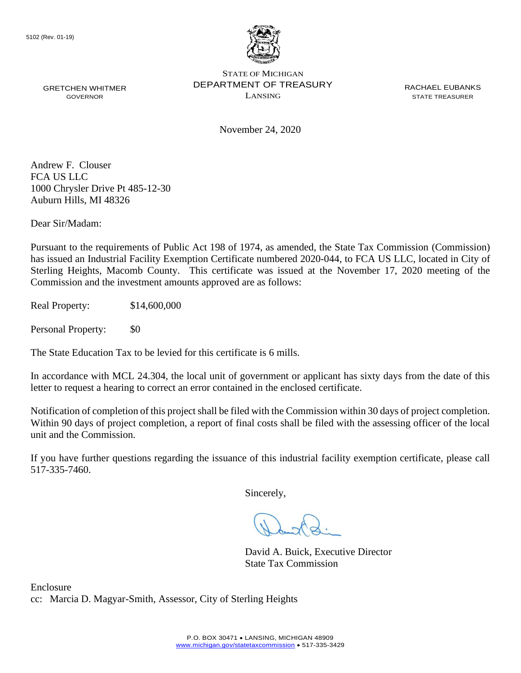

GRETCHEN WHITMER **EXAMPLE PERARTMENT OF TREASURY** EXACT ACHAEL EUBANKS STATE OF MICHIGAN GRETCHEN WHITMER **STATE OF A STATE TO A STATE THE STATE THE STATE TREASURER** GOVERNOR GOVERNOR

November 24, 2020

Andrew F. Clouser FCA US LLC 1000 Chrysler Drive Pt 485-12-30 Auburn Hills, MI 48326

Dear Sir/Madam:

Pursuant to the requirements of Public Act 198 of 1974, as amended, the State Tax Commission (Commission) has issued an Industrial Facility Exemption Certificate numbered 2020-044, to FCA US LLC, located in City of Sterling Heights, Macomb County. This certificate was issued at the November 17, 2020 meeting of the Commission and the investment amounts approved are as follows:

Real Property: \$14,600,000

Personal Property: \$0

The State Education Tax to be levied for this certificate is 6 mills.

In accordance with MCL 24.304, the local unit of government or applicant has sixty days from the date of this letter to request a hearing to correct an error contained in the enclosed certificate.

 Notification of completion of this project shall be filed with the Commission within 30 days of project completion. Within 90 days of project completion, a report of final costs shall be filed with the assessing officer of the local unit and the Commission.

 If you have further questions regarding the issuance of this industrial facility exemption certificate, please call 517-335-7460.

Sincerely,

David A. Buick, Executive Director State Tax Commission

Enclosure cc: Marcia D. Magyar-Smith, Assessor, City of Sterling Heights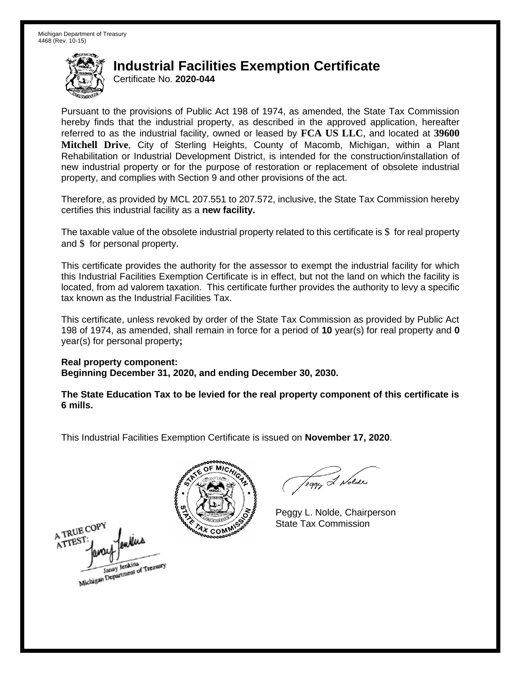Certificate No. **2020-044** 

 Pursuant to the provisions of Public Act 198 of 1974, as amended, the State Tax Commission hereby finds that the industrial property, as described in the approved application, hereafter referred to as the industrial facility, owned or leased by **FCA US LLC**, and located at **39600 Mitchell Drive**, City of Sterling Heights, County of Macomb, Michigan, within a Plant Rehabilitation or Industrial Development District, is intended for the construction/installation of new industrial property or for the purpose of restoration or replacement of obsolete industrial property, and complies with Section 9 and other provisions of the act.

 Therefore, as provided by MCL 207.551 to 207.572, inclusive, the State Tax Commission hereby certifies this industrial facility as a **new facility.** 

The taxable value of the obsolete industrial property related to this certificate is \$ for real property and \$ for personal property.

 This certificate provides the authority for the assessor to exempt the industrial facility for which this Industrial Facilities Exemption Certificate is in effect, but not the land on which the facility is located, from ad valorem taxation. This certificate further provides the authority to levy a specific tax known as the Industrial Facilities Tax.

 This certificate, unless revoked by order of the State Tax Commission as provided by Public Act 198 of 1974, as amended, shall remain in force for a period of **10** year(s) for real property and **0**  year(s) for personal property**;** 

 **Real property component: Beginning December 31, 2020, and ending December 30, 2030.** 

 **The State Education Tax to be levied for the real property component of this certificate is 6 mills.** 

A TRUE COPY **ATTES!** Janay Jenkins<br>Michigan Department of Treasury

Teggy & Nolde

 Peggy L. Nolde, Chairperson State Tax Commission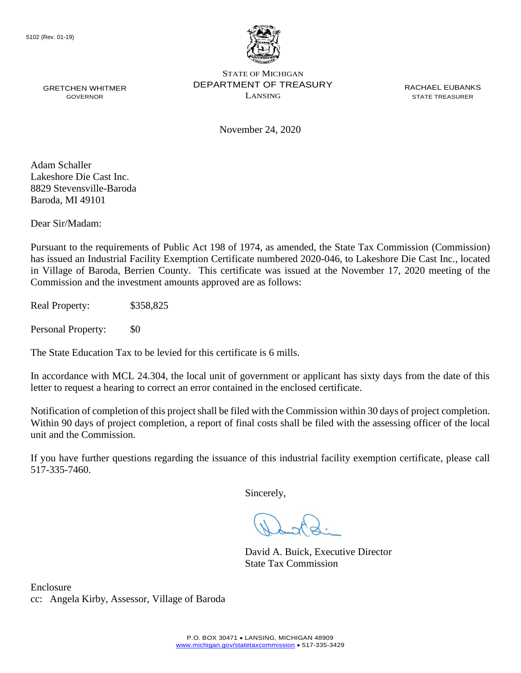

November 24, 2020

Adam Schaller Lakeshore Die Cast Inc. 8829 Stevensville-Baroda Baroda, MI 49101

Dear Sir/Madam:

 has issued an Industrial Facility Exemption Certificate numbered 2020-046, to Lakeshore Die Cast Inc., located Pursuant to the requirements of Public Act 198 of 1974, as amended, the State Tax Commission (Commission) in Village of Baroda, Berrien County. This certificate was issued at the November 17, 2020 meeting of the Commission and the investment amounts approved are as follows:

Real Property: \$358,825

Personal Property: \$0

The State Education Tax to be levied for this certificate is 6 mills.

In accordance with MCL 24.304, the local unit of government or applicant has sixty days from the date of this letter to request a hearing to correct an error contained in the enclosed certificate.

 Notification of completion of this project shall be filed with the Commission within 30 days of project completion. Within 90 days of project completion, a report of final costs shall be filed with the assessing officer of the local unit and the Commission.

 If you have further questions regarding the issuance of this industrial facility exemption certificate, please call 517-335-7460.

Sincerely,

David A. Buick, Executive Director State Tax Commission

Enclosure cc: Angela Kirby, Assessor, Village of Baroda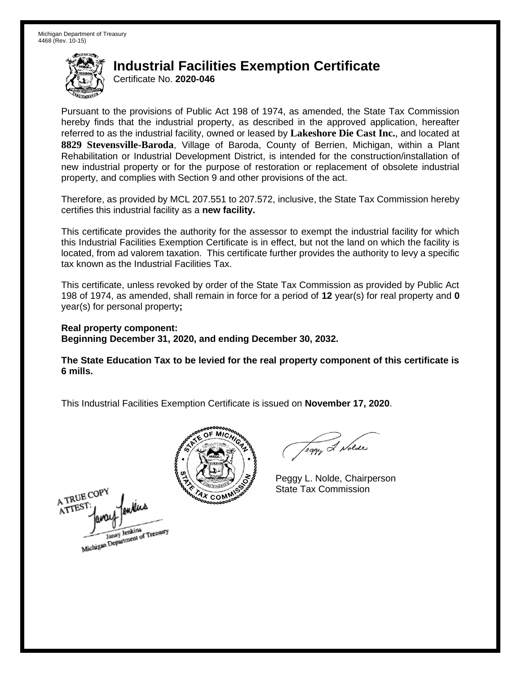Certificate No. **2020-046** 

 Pursuant to the provisions of Public Act 198 of 1974, as amended, the State Tax Commission hereby finds that the industrial property, as described in the approved application, hereafter referred to as the industrial facility, owned or leased by **Lakeshore Die Cast Inc.**, and located at Rehabilitation or Industrial Development District, is intended for the construction/installation of new industrial property or for the purpose of restoration or replacement of obsolete industrial property, and complies with Section 9 and other provisions of the act. **8829 Stevensville-Baroda**, Village of Baroda, County of Berrien, Michigan, within a Plant

 Therefore, as provided by MCL 207.551 to 207.572, inclusive, the State Tax Commission hereby certifies this industrial facility as a **new facility.** 

 This certificate provides the authority for the assessor to exempt the industrial facility for which this Industrial Facilities Exemption Certificate is in effect, but not the land on which the facility is located, from ad valorem taxation. This certificate further provides the authority to levy a specific tax known as the Industrial Facilities Tax.

 This certificate, unless revoked by order of the State Tax Commission as provided by Public Act 198 of 1974, as amended, shall remain in force for a period of **12** year(s) for real property and **0**  year(s) for personal property**;** 

 **Real property component: Beginning December 31, 2020, and ending December 30, 2032.** 

 **The State Education Tax to be levied for the real property component of this certificate is 6 mills.** 



Teggy & Nolde

 Peggy L. Nolde, Chairperson State Tax Commission

A TRUE COPY ATTEST Michigan Department of Treasury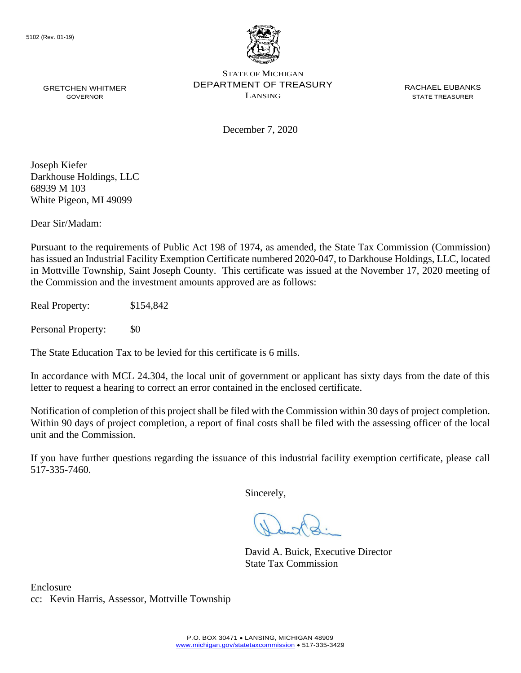

December 7, 2020

Joseph Kiefer Darkhouse Holdings, LLC 68939 M 103 White Pigeon, MI 49099

Dear Sir/Madam:

Pursuant to the requirements of Public Act 198 of 1974, as amended, the State Tax Commission (Commission) has issued an Industrial Facility Exemption Certificate numbered 2020-047, to Darkhouse Holdings, LLC, located in Mottville Township, Saint Joseph County. This certificate was issued at the November 17, 2020 meeting of the Commission and the investment amounts approved are as follows:

Real Property: \$154,842

Personal Property: \$0

The State Education Tax to be levied for this certificate is 6 mills.

In accordance with MCL 24.304, the local unit of government or applicant has sixty days from the date of this letter to request a hearing to correct an error contained in the enclosed certificate.

 Notification of completion of this project shall be filed with the Commission within 30 days of project completion. Within 90 days of project completion, a report of final costs shall be filed with the assessing officer of the local unit and the Commission.

 If you have further questions regarding the issuance of this industrial facility exemption certificate, please call 517-335-7460.

Sincerely,

David A. Buick, Executive Director State Tax Commission

Enclosure cc: Kevin Harris, Assessor, Mottville Township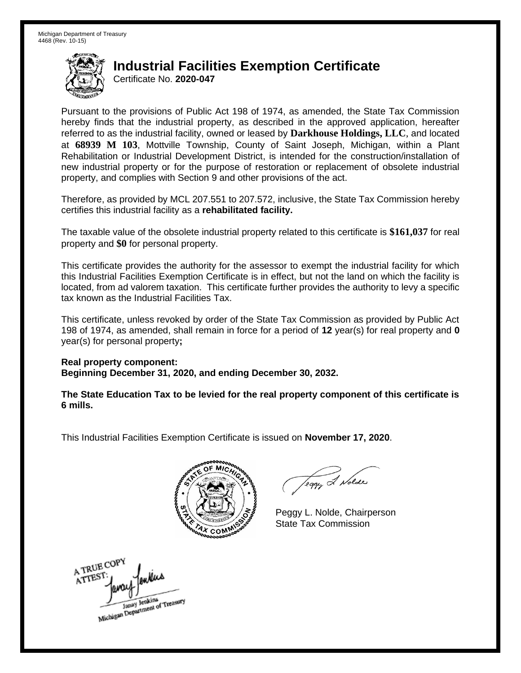Certificate No. **2020-047** 

 Pursuant to the provisions of Public Act 198 of 1974, as amended, the State Tax Commission hereby finds that the industrial property, as described in the approved application, hereafter referred to as the industrial facility, owned or leased by **Darkhouse Holdings, LLC**, and located at **68939 M 103**, Mottville Township, County of Saint Joseph, Michigan, within a Plant Rehabilitation or Industrial Development District, is intended for the construction/installation of new industrial property or for the purpose of restoration or replacement of obsolete industrial property, and complies with Section 9 and other provisions of the act.

 Therefore, as provided by MCL 207.551 to 207.572, inclusive, the State Tax Commission hereby certifies this industrial facility as a **rehabilitated facility.** 

 The taxable value of the obsolete industrial property related to this certificate is **\$161,037** for real property and **\$0** for personal property.

 This certificate provides the authority for the assessor to exempt the industrial facility for which this Industrial Facilities Exemption Certificate is in effect, but not the land on which the facility is located, from ad valorem taxation. This certificate further provides the authority to levy a specific tax known as the Industrial Facilities Tax.

 This certificate, unless revoked by order of the State Tax Commission as provided by Public Act 198 of 1974, as amended, shall remain in force for a period of **12** year(s) for real property and **0**  year(s) for personal property**;** 

 **Real property component: Beginning December 31, 2020, and ending December 30, 2032.** 

 **The State Education Tax to be levied for the real property component of this certificate is 6 mills.** 



Teggy & Nolde

 Peggy L. Nolde, Chairperson State Tax Commission

A TRUE COPY enters ATTEST Michigan Department of Treasury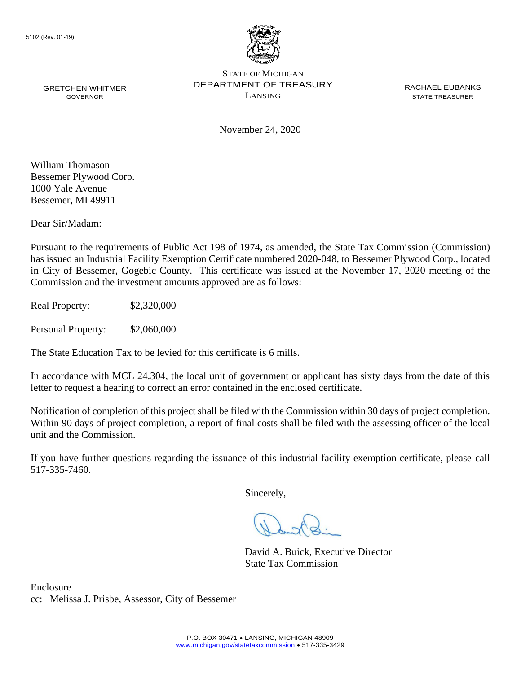

November 24, 2020

William Thomason Bessemer Plywood Corp. 1000 Yale Avenue Bessemer, MI 49911

Dear Sir/Madam:

Pursuant to the requirements of Public Act 198 of 1974, as amended, the State Tax Commission (Commission) has issued an Industrial Facility Exemption Certificate numbered 2020-048, to Bessemer Plywood Corp., located in City of Bessemer, Gogebic County. This certificate was issued at the November 17, 2020 meeting of the Commission and the investment amounts approved are as follows:

Real Property: \$2,320,000

Personal Property: \$2,060,000

The State Education Tax to be levied for this certificate is 6 mills.

In accordance with MCL 24.304, the local unit of government or applicant has sixty days from the date of this letter to request a hearing to correct an error contained in the enclosed certificate.

 Notification of completion of this project shall be filed with the Commission within 30 days of project completion. Within 90 days of project completion, a report of final costs shall be filed with the assessing officer of the local unit and the Commission.

 If you have further questions regarding the issuance of this industrial facility exemption certificate, please call 517-335-7460.

Sincerely,

David A. Buick, Executive Director State Tax Commission

Enclosure cc: Melissa J. Prisbe, Assessor, City of Bessemer